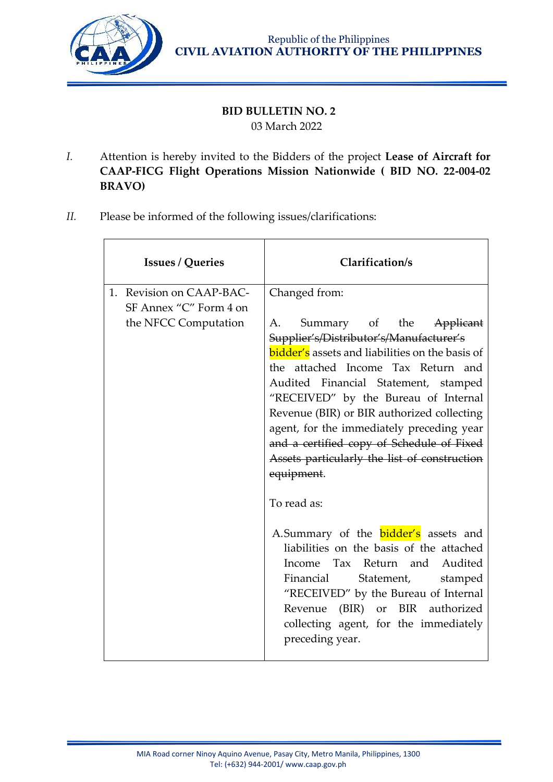

## **BID BULLETIN NO. 2** 03 March 2022

- *I.* Attention is hereby invited to the Bidders of the project **Lease of Aircraft for CAAP-FICG Flight Operations Mission Nationwide ( BID NO. 22-004-02 BRAVO)**
- *II.* Please be informed of the following issues/clarifications:

| <b>Issues / Queries</b>                                                    | Clarification/s                                                                                                                                                                                                                                                                                                                                                                                                                                                                                                                                                                                                                                                                                                                                                                                          |
|----------------------------------------------------------------------------|----------------------------------------------------------------------------------------------------------------------------------------------------------------------------------------------------------------------------------------------------------------------------------------------------------------------------------------------------------------------------------------------------------------------------------------------------------------------------------------------------------------------------------------------------------------------------------------------------------------------------------------------------------------------------------------------------------------------------------------------------------------------------------------------------------|
| 1. Revision on CAAP-BAC-<br>SF Annex "C" Form 4 on<br>the NFCC Computation | Changed from:<br>Summary of the Applicant<br>А.<br>Supplier's/Distributor's/Manufacturer's<br><b>bidder's</b> assets and liabilities on the basis of<br>the attached Income Tax Return and<br>Audited Financial Statement, stamped<br>"RECEIVED" by the Bureau of Internal<br>Revenue (BIR) or BIR authorized collecting<br>agent, for the immediately preceding year<br>and a certified copy of Schedule of Fixed<br>Assets particularly the list of construction<br>equipment.<br>To read as:<br>A.Summary of the <b>bidder's</b> assets and<br>liabilities on the basis of the attached<br>Income Tax Return and Audited<br>Financial<br>Statement,<br>stamped<br>"RECEIVED" by the Bureau of Internal<br>Revenue (BIR) or BIR authorized<br>collecting agent, for the immediately<br>preceding year. |
|                                                                            |                                                                                                                                                                                                                                                                                                                                                                                                                                                                                                                                                                                                                                                                                                                                                                                                          |